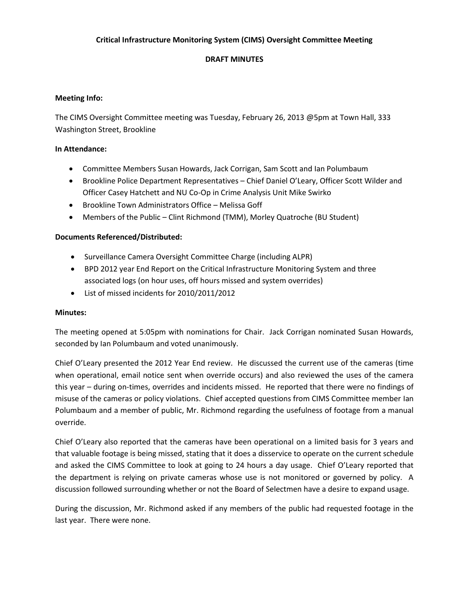# **Critical Infrastructure Monitoring System (CIMS) Oversight Committee Meeting**

# **DRAFT MINUTES**

# **Meeting Info:**

The CIMS Oversight Committee meeting was Tuesday, February 26, 2013 @5pm at Town Hall, 333 Washington Street, Brookline

## **In Attendance:**

- Committee Members Susan Howards, Jack Corrigan, Sam Scott and Ian Polumbaum
- Brookline Police Department Representatives Chief Daniel O'Leary, Officer Scott Wilder and Officer Casey Hatchett and NU Co-Op in Crime Analysis Unit Mike Swirko
- Brookline Town Administrators Office Melissa Goff
- Members of the Public Clint Richmond (TMM), Morley Quatroche (BU Student)

## **Documents Referenced/Distributed:**

- Surveillance Camera Oversight Committee Charge (including ALPR)
- BPD 2012 year End Report on the Critical Infrastructure Monitoring System and three associated logs (on hour uses, off hours missed and system overrides)
- List of missed incidents for 2010/2011/2012

## **Minutes:**

The meeting opened at 5:05pm with nominations for Chair. Jack Corrigan nominated Susan Howards, seconded by Ian Polumbaum and voted unanimously.

Chief O'Leary presented the 2012 Year End review. He discussed the current use of the cameras (time when operational, email notice sent when override occurs) and also reviewed the uses of the camera this year – during on-times, overrides and incidents missed. He reported that there were no findings of misuse of the cameras or policy violations. Chief accepted questions from CIMS Committee member Ian Polumbaum and a member of public, Mr. Richmond regarding the usefulness of footage from a manual override.

Chief O'Leary also reported that the cameras have been operational on a limited basis for 3 years and that valuable footage is being missed, stating that it does a disservice to operate on the current schedule and asked the CIMS Committee to look at going to 24 hours a day usage. Chief O'Leary reported that the department is relying on private cameras whose use is not monitored or governed by policy. A discussion followed surrounding whether or not the Board of Selectmen have a desire to expand usage.

During the discussion, Mr. Richmond asked if any members of the public had requested footage in the last year. There were none.